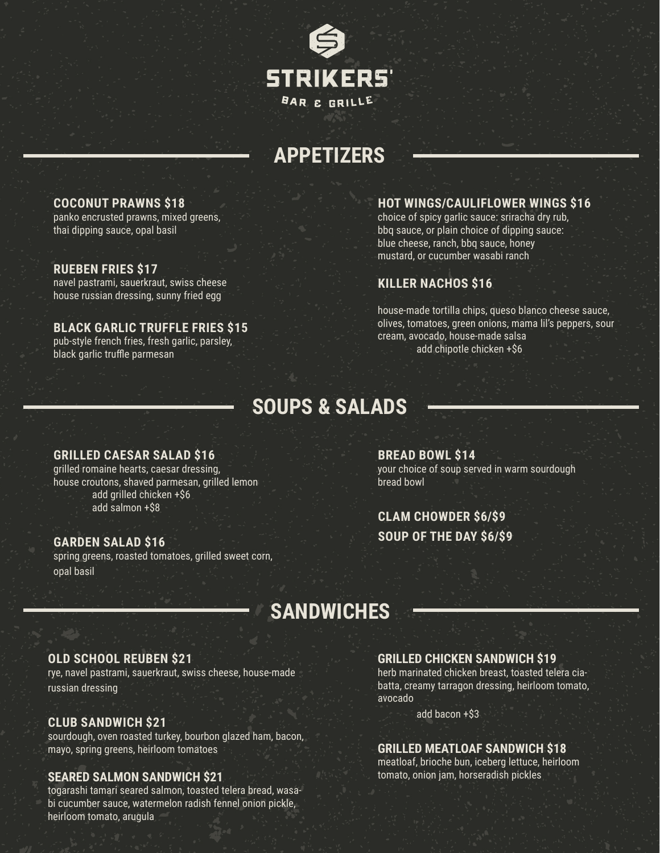

# **APPETIZERS**

# **COCONUT PRAWNS \$18**

panko encrusted prawns, mixed greens, thai dipping sauce, opal basil

### **RUEBEN FRIES \$17**

navel pastrami, sauerkraut, swiss cheese house russian dressing, sunny fried egg

# **BLACK GARLIC TRUFFLE FRIES \$15**

pub-style french fries, fresh garlic, parsley, black garlic truffle parmesan

### **HOT WINGS/CAULIFLOWER WINGS \$16**

choice of spicy garlic sauce: sriracha dry rub, bbq sauce, or plain choice of dipping sauce: blue cheese, ranch, bbq sauce, honey mustard, or cucumber wasabi ranch

# **KILLER NACHOS \$16**

house-made tortilla chips, queso blanco cheese sauce, olives, tomatoes, green onions, mama lil's peppers, sour cream, avocado, house-made salsa add chipotle chicken +\$6

# **SOUPS & SALADS**

#### **GRILLED CAESAR SALAD \$16**

grilled romaine hearts, caesar dressing, house croutons, shaved parmesan, grilled lemon add grilled chicken +\$6 add salmon +\$8

#### **GARDEN SALAD \$16**

spring greens, roasted tomatoes, grilled sweet corn, opal basil

**BREAD BOWL \$14** your choice of soup served in warm sourdough bread bowl

# **CLAM CHOWDER \$6/\$9 SOUP OF THE DAY \$6/\$9**

# **SANDWICHES**

### **OLD SCHOOL REUBEN \$21**

rye, navel pastrami, sauerkraut, swiss cheese, house-made russian dressing

### **CLUB SANDWICH \$21**

sourdough, oven roasted turkey, bourbon glazed ham, bacon, mayo, spring greens, heirloom tomatoes

### **SEARED SALMON SANDWICH \$21**

togarashi tamari seared salmon, toasted telera bread, wasabi cucumber sauce, watermelon radish fennel onion pickle, heirloom tomato, arugula

#### **GRILLED CHICKEN SANDWICH \$19**

herb marinated chicken breast, toasted telera ciabatta, creamy tarragon dressing, heirloom tomato, avocado

add bacon +\$3

#### **GRILLED MEATLOAF SANDWICH \$18**

meatloaf, brioche bun, iceberg lettuce, heirloom tomato, onion jam, horseradish pickles